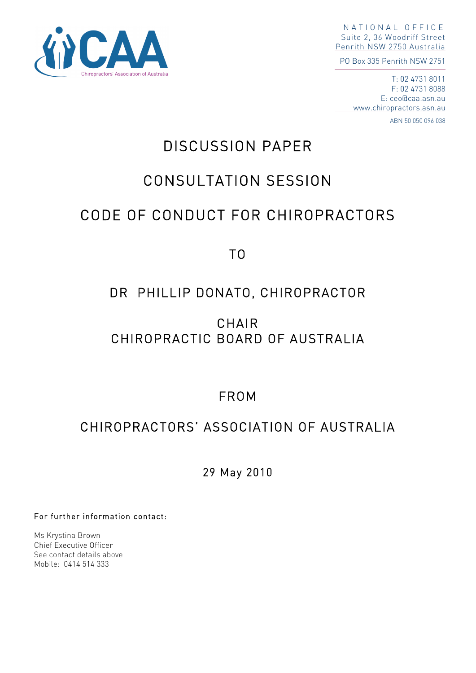

NATIONAL OFFICE Suite 2, 36 Woodriff Street Penrith NSW 2750 Australia

PO Box 335 Penrith NSW 2751

T: 02 4731 8011 F: 02 4731 8088 E: ceo@caa.asn.au www.chiropractors.asn.au

ABN 50 050 096 038

# DISCUSSION PAPER

# CONSULTATION SESSION

# CODE OF CONDUCT FOR CHIROPRACTORS

TO

## DR PHILLIP DONATO, CHIROPRACTOR

## CHAIR CHIROPRACTIC BOARD OF AUSTRALIA

FROM

## CHIROPRACTORS' ASSOCIATION OF AUSTRALIA

29 May 2010

For further information contact:

Ms Krystina Brown Chief Executive Officer See contact details above Mobile: 0414 514 333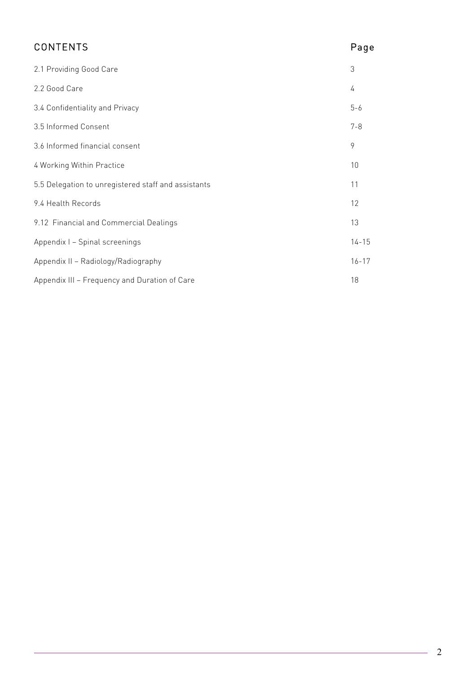| <b>CONTENTS</b>                                     | Page      |
|-----------------------------------------------------|-----------|
| 2.1 Providing Good Care                             | 3         |
| 2.2 Good Care                                       | 4         |
| 3.4 Confidentiality and Privacy                     | $5 - 6$   |
| 3.5 Informed Consent                                | $7 - 8$   |
| 3.6 Informed financial consent                      | 9         |
| 4 Working Within Practice                           | 10        |
| 5.5 Delegation to unregistered staff and assistants | 11        |
| 9.4 Health Records                                  | 12        |
| 9.12 Financial and Commercial Dealings              | 13        |
| Appendix I - Spinal screenings                      | $14 - 15$ |
| Appendix II - Radiology/Radiography                 | $16 - 17$ |
| Appendix III - Frequency and Duration of Care       | 18        |

 $\overline{\phantom{a}}$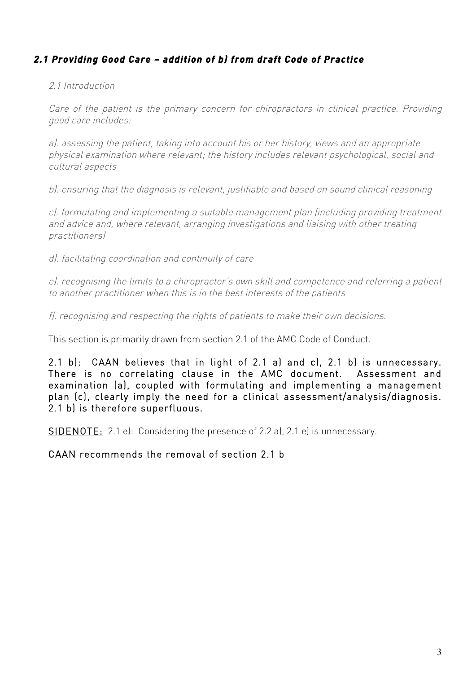## *2.1 Providing Good Care – addition of b) from draft Code of Practice*

#### 2.1 Introduction

Care of the patient is the primary concern for chiropractors in clinical practice. Providing good care includes:

a). assessing the patient, taking into account his or her history, views and an appropriate physical examination where relevant; the history includes relevant psychological, social and cultural aspects

b). ensuring that the diagnosis is relevant, justifiable and based on sound clinical reasoning

c). formulating and implementing a suitable management plan (including providing treatment and advice and, where relevant, arranging investigations and liaising with other treating practitioners)

d). facilitating coordination and continuity of care

e). recognising the limits to a chiropractor's own skill and competence and referring a patient to another practitioner when this is in the best interests of the patients

f). recognising and respecting the rights of patients to make their own decisions.

This section is primarily drawn from section 2.1 of the AMC Code of Conduct.

2.1 b): CAAN believes that in light of 2.1 a) and c), 2.1 b) is unnecessary. There is no correlating clause in the AMC document. Assessment and examination (a), coupled with formulating and implementing a management plan (c), clearly imply the need for a clinical assessment/analysis/diagnosis. 2.1 b) is therefore superfluous.

SIDENOTE: 2.1 e): Considering the presence of 2.2 a), 2.1 e) is unnecessary.

CAAN recommends the removal of section 2.1 b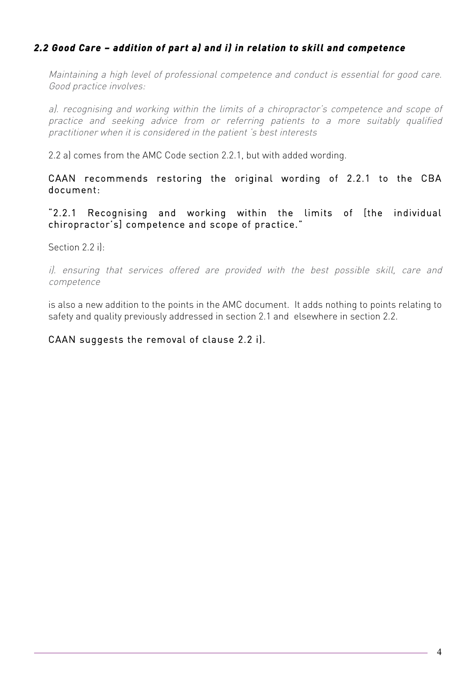## *2.2 Good Care – addition of part a) and i) in relation to skill and competence*

Maintaining a high level of professional competence and conduct is essential for good care. Good practice involves:

a). recognising and working within the limits of a chiropractor's competence and scope of practice and seeking advice from or referring patients to a more suitably qualified practitioner when it is considered in the patient 's best interests

2.2 a) comes from the AMC Code section 2.2.1, but with added wording.

CAAN recommends restoring the original wording of 2.2.1 to the CBA document:

"2.2.1 Recognising and working within the limits of [the individual chiropractor's] competence and scope of practice."

Section 2.2 i):

i). ensuring that services offered are provided with the best possible skill, care and competence

is also a new addition to the points in the AMC document. It adds nothing to points relating to safety and quality previously addressed in section 2.1 and elsewhere in section 2.2.

#### CAAN suggests the removal of clause 2.2 i).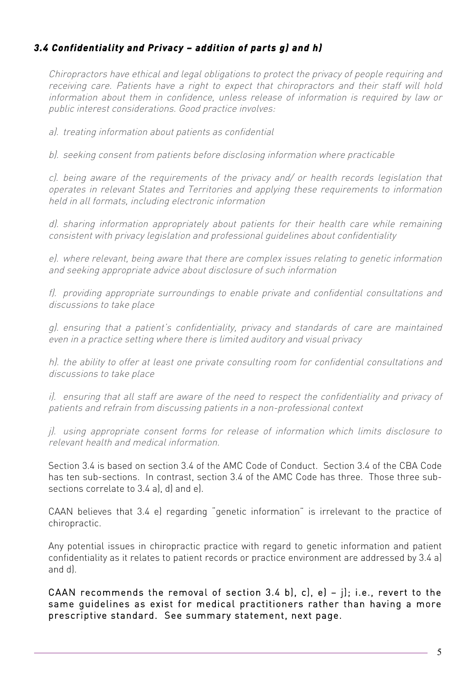## *3.4 Confidentiality and Privacy – addition of parts g) and h)*

Chiropractors have ethical and legal obligations to protect the privacy of people requiring and receiving care. Patients have a right to expect that chiropractors and their staff will hold information about them in confidence, unless release of information is required by law or public interest considerations. Good practice involves:

a). treating information about patients as confidential

b). seeking consent from patients before disclosing information where practicable

c). being aware of the requirements of the privacy and/ or health records legislation that operates in relevant States and Territories and applying these requirements to information held in all formats, including electronic information

d). sharing information appropriately about patients for their health care while remaining consistent with privacy legislation and professional guidelines about confidentiality

e). where relevant, being aware that there are complex issues relating to genetic information and seeking appropriate advice about disclosure of such information

f). providing appropriate surroundings to enable private and confidential consultations and discussions to take place

g). ensuring that a patient's confidentiality, privacy and standards of care are maintained even in a practice setting where there is limited auditory and visual privacy

h). the ability to offer at least one private consulting room for confidential consultations and discussions to take place

i). ensuring that all staff are aware of the need to respect the confidentiality and privacy of patients and refrain from discussing patients in a non-professional context

j). using appropriate consent forms for release of information which limits disclosure to relevant health and medical information.

Section 3.4 is based on section 3.4 of the AMC Code of Conduct. Section 3.4 of the CBA Code has ten sub-sections. In contrast, section 3.4 of the AMC Code has three. Those three subsections correlate to 3.4 al, d) and el.

CAAN believes that 3.4 e) regarding "genetic information" is irrelevant to the practice of chiropractic.

Any potential issues in chiropractic practice with regard to genetic information and patient confidentiality as it relates to patient records or practice environment are addressed by 3.4 a) and d).

CAAN recommends the removal of section 3.4 b), c), e) – j); i.e., revert to the same guidelines as exist for medical practitioners rather than having a more prescriptive standard. See summary statement, next page.

5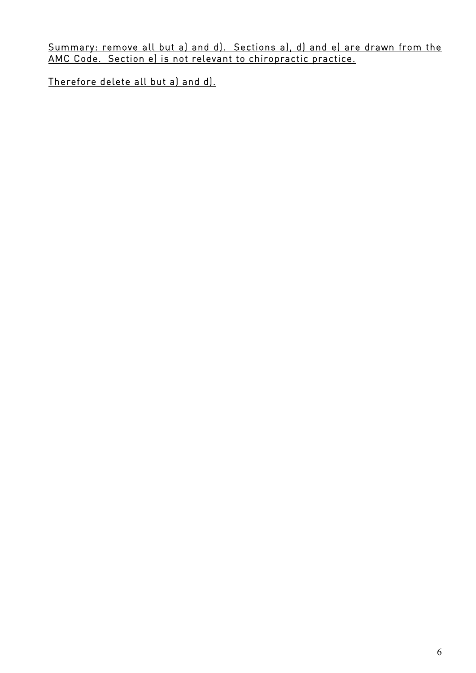Summary: remove all but a) and d). Sections a), d) and e) are drawn from the AMC Code. Section e) is not relevant to chiropractic practice.

Therefore delete all but a) and d).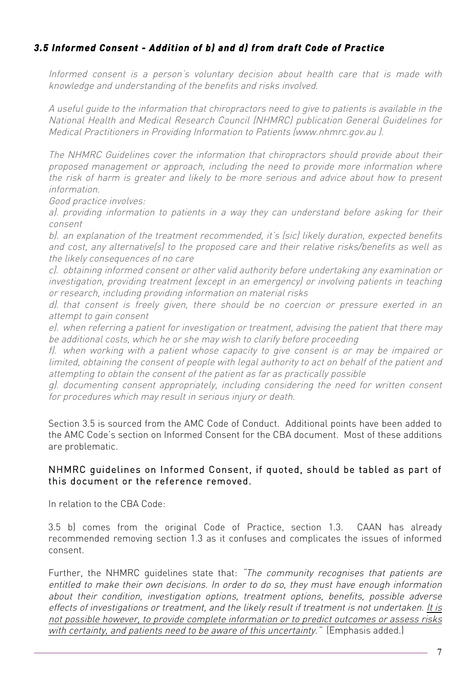## *3.5 Informed Consent - Addition of b) and d) from draft Code of Practice*

Informed consent is a person's voluntary decision about health care that is made with knowledge and understanding of the benefits and risks involved.

A useful guide to the information that chiropractors need to give to patients is available in the National Health and Medical Research Council (NHMRC) publication General Guidelines for Medical Practitioners in Providing Information to Patients (www.nhmrc.gov.au ).

The NHMRC Guidelines cover the information that chiropractors should provide about their proposed management or approach, including the need to provide more information where the risk of harm is greater and likely to be more serious and advice about how to present information.

Good practice involves:

a). providing information to patients in a way they can understand before asking for their consent

b). an explanation of the treatment recommended, it's (sic) likely duration, expected benefits and cost, any alternative(s) to the proposed care and their relative risks/benefits as well as the likely consequences of no care

c). obtaining informed consent or other valid authority before undertaking any examination or investigation, providing treatment (except in an emergency) or involving patients in teaching or research, including providing information on material risks

d). that consent is freely given, there should be no coercion or pressure exerted in an attempt to gain consent

e). when referring a patient for investigation or treatment, advising the patient that there may be additional costs, which he or she may wish to clarify before proceeding

f). when working with a patient whose capacity to give consent is or may be impaired or limited, obtaining the consent of people with legal authority to act on behalf of the patient and attempting to obtain the consent of the patient as far as practically possible

g). documenting consent appropriately, including considering the need for written consent for procedures which may result in serious injury or death.

 Section 3.5 is sourced from the AMC Code of Conduct. Additional points have been added to the AMC Code's section on Informed Consent for the CBA document. Most of these additions are problematic.

#### NHMRC guidelines on Informed Consent, if quoted, should be tabled as part of this document or the reference removed.

In relation to the CBA Code:

3.5 b) comes from the original Code of Practice, section 1.3. CAAN has already recommended removing section 1.3 as it confuses and complicates the issues of informed consent.

Further, the NHMRC quidelines state that: "The community recognises that patients are entitled to make their own decisions. In order to do so, they must have enough information about their condition, investigation options, treatment options, benefits, possible adverse effects of investigations or treatment, and the likely result if treatment is not undertaken. It is not possible however, to provide complete information or to predict outcomes or assess risks with certainty, and patients need to be aware of this uncertainty." (Emphasis added.)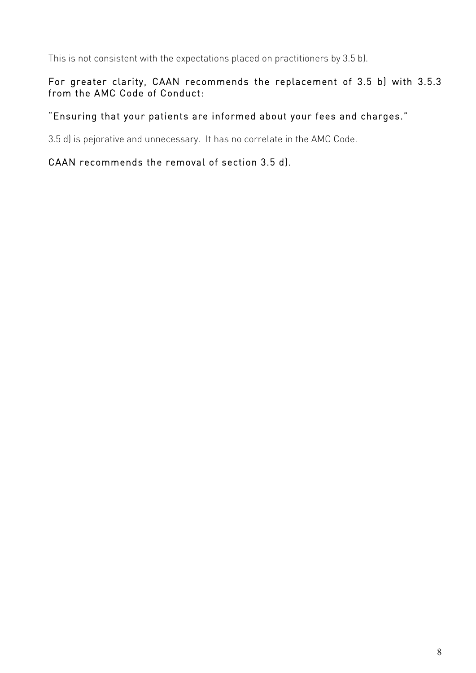This is not consistent with the expectations placed on practitioners by 3.5 b).

## For greater clarity, CAAN recommends the replacement of 3.5 b) with 3.5.3 from the AMC Code of Conduct:

### "Ensuring that your patients are informed about your fees and charges."

3.5 d) is pejorative and unnecessary. It has no correlate in the AMC Code.

### CAAN recommends the removal of section 3.5 d).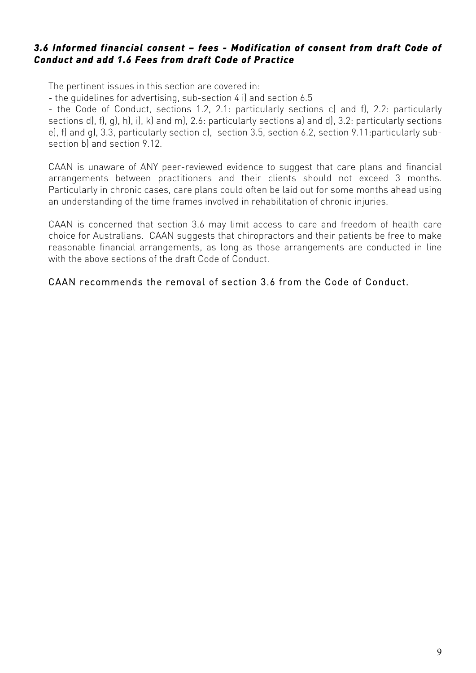#### *3.6 Informed financial consent – fees - Modification of consent from draft Code of Conduct and add 1.6 Fees from draft Code of Practice*

The pertinent issues in this section are covered in:

- the guidelines for advertising, sub-section 4 i) and section 6.5

- the Code of Conduct, sections 1.2, 2.1: particularly sections c) and f), 2.2: particularly sections d), f), g), h), i), k) and m), 2.6: particularly sections a) and d), 3.2: particularly sections e), f) and g), 3.3, particularly section c), section 3.5, section 6.2, section 9.11:particularly subsection b) and section 9.12.

CAAN is unaware of ANY peer-reviewed evidence to suggest that care plans and financial arrangements between practitioners and their clients should not exceed 3 months. Particularly in chronic cases, care plans could often be laid out for some months ahead using an understanding of the time frames involved in rehabilitation of chronic injuries.

CAAN is concerned that section 3.6 may limit access to care and freedom of health care choice for Australians. CAAN suggests that chiropractors and their patients be free to make reasonable financial arrangements, as long as those arrangements are conducted in line with the above sections of the draft Code of Conduct.

#### CAAN recommends the removal of section 3.6 from the Code of Conduct.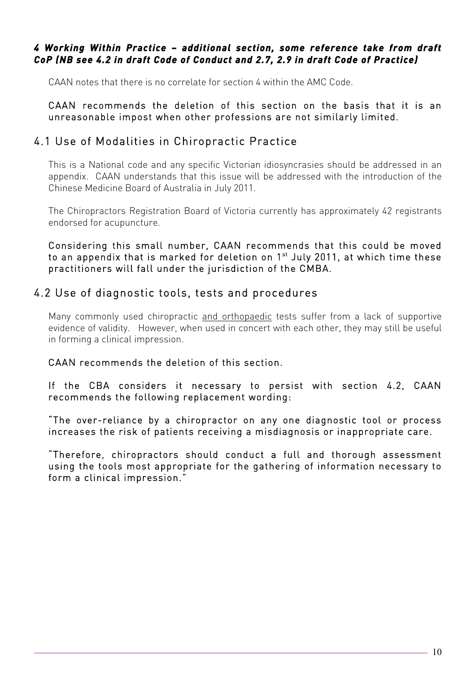#### *4 Working Within Practice – additional section, some reference take from draft CoP (NB see 4.2 in draft Code of Conduct and 2.7, 2.9 in draft Code of Practice)*

CAAN notes that there is no correlate for section 4 within the AMC Code.

CAAN recommends the deletion of this section on the basis that it is an unreasonable impost when other professions are not similarly limited.

## 4.1 Use of Modalities in Chiropractic Practice

This is a National code and any specific Victorian idiosyncrasies should be addressed in an appendix. CAAN understands that this issue will be addressed with the introduction of the Chinese Medicine Board of Australia in July 2011.

The Chiropractors Registration Board of Victoria currently has approximately 42 registrants endorsed for acupuncture.

Considering this small number, CAAN recommends that this could be moved to an appendix that is marked for deletion on 1<sup>st</sup> July 2011, at which time these practitioners will fall under the jurisdiction of the CMBA.

## 4.2 Use of diagnostic tools, tests and procedures

Many commonly used chiropractic and orthopaedic tests suffer from a lack of supportive evidence of validity. However, when used in concert with each other, they may still be useful in forming a clinical impression.

### CAAN recommends the deletion of this section.

If the CBA considers it necessary to persist with section 4.2, CAAN recommends the following replacement wording:

"The over-reliance by a chiropractor on any one diagnostic tool or process increases the risk of patients receiving a misdiagnosis or inappropriate care.

"Therefore, chiropractors should conduct a full and thorough assessment using the tools most appropriate for the gathering of information necessary to form a clinical impression."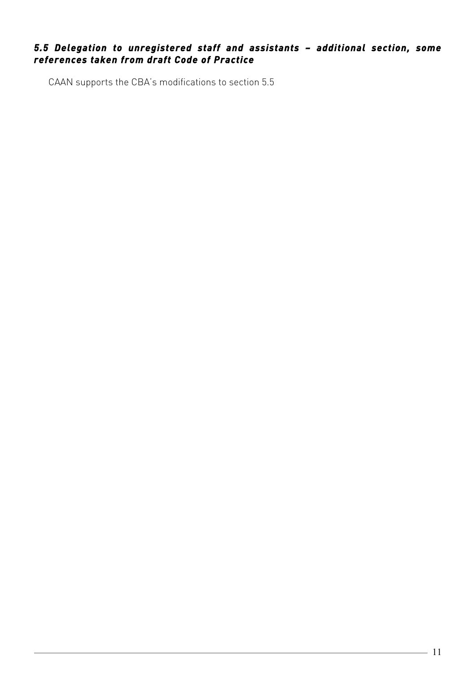## *5.5 Delegation to unregistered staff and assistants – additional section, some references taken from draft Code of Practice*

CAAN supports the CBA's modifications to section 5.5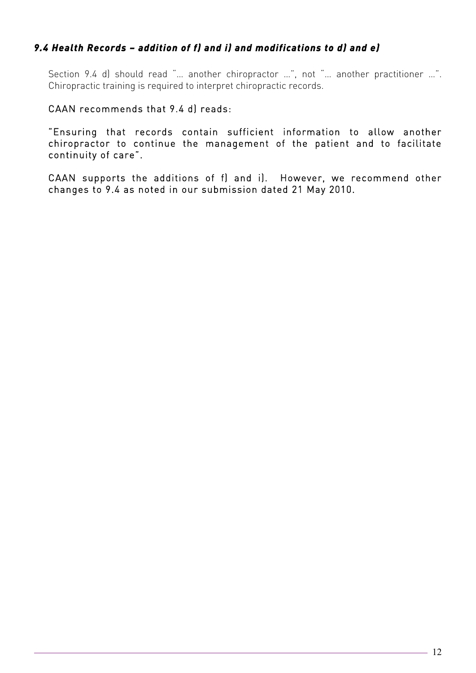## *9.4 Health Records – addition of f) and i) and modifications to d) and e)*

 Section 9.4 d) should read "… another chiropractor …", not "… another practitioner …". Chiropractic training is required to interpret chiropractic records.

#### CAAN recommends that 9.4 d) reads:

"Ensuring that records contain sufficient information to allow another chiropractor to continue the management of the patient and to facilitate continuity of care".

CAAN supports the additions of f) and i). However, we recommend other changes to 9.4 as noted in our submission dated 21 May 2010.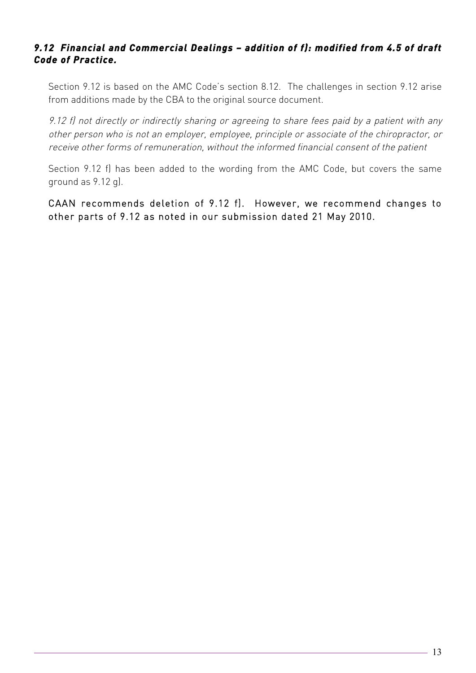## *9.12 Financial and Commercial Dealings – addition of f): modified from 4.5 of draft Code of Practice.*

Section 9.12 is based on the AMC Code's section 8.12. The challenges in section 9.12 arise from additions made by the CBA to the original source document.

9.12 f) not directly or indirectly sharing or agreeing to share fees paid by a patient with any other person who is not an employer, employee, principle or associate of the chiropractor, or receive other forms of remuneration, without the informed financial consent of the patient

Section 9.12 f) has been added to the wording from the AMC Code, but covers the same ground as 9.12 g).

CAAN recommends deletion of 9.12 f). However, we recommend changes to other parts of 9.12 as noted in our submission dated 21 May 2010.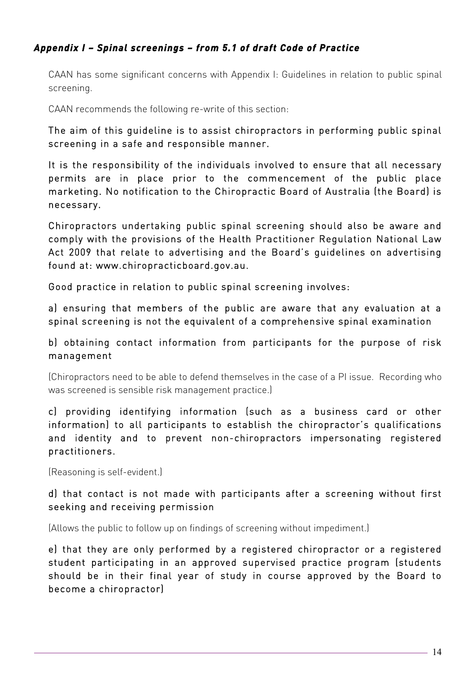## *Appendix I – Spinal screenings – from 5.1 of draft Code of Practice*

CAAN has some significant concerns with Appendix I: Guidelines in relation to public spinal screening.

CAAN recommends the following re-write of this section:

The aim of this guideline is to assist chiropractors in performing public spinal screening in a safe and responsible manner.

It is the responsibility of the individuals involved to ensure that all necessary permits are in place prior to the commencement of the public place marketing. No notification to the Chiropractic Board of Australia (the Board) is necessary.

Chiropractors undertaking public spinal screening should also be aware and comply with the provisions of the Health Practitioner Regulation National Law Act 2009 that relate to advertising and the Board's guidelines on advertising found at: www.chiropracticboard.gov.au.

Good practice in relation to public spinal screening involves:

a) ensuring that members of the public are aware that any evaluation at a spinal screening is not the equivalent of a comprehensive spinal examination

## b) obtaining contact information from participants for the purpose of risk management

(Chiropractors need to be able to defend themselves in the case of a PI issue. Recording who was screened is sensible risk management practice.)

c) providing identifying information (such as a business card or other information) to all participants to establish the chiropractor's qualifications and identity and to prevent non-chiropractors impersonating registered practitioners.

(Reasoning is self-evident.)

### d) that contact is not made with participants after a screening without first seeking and receiving permission

(Allows the public to follow up on findings of screening without impediment.)

e) that they are only performed by a registered chiropractor or a registered student participating in an approved supervised practice program (students should be in their final year of study in course approved by the Board to become a chiropractor)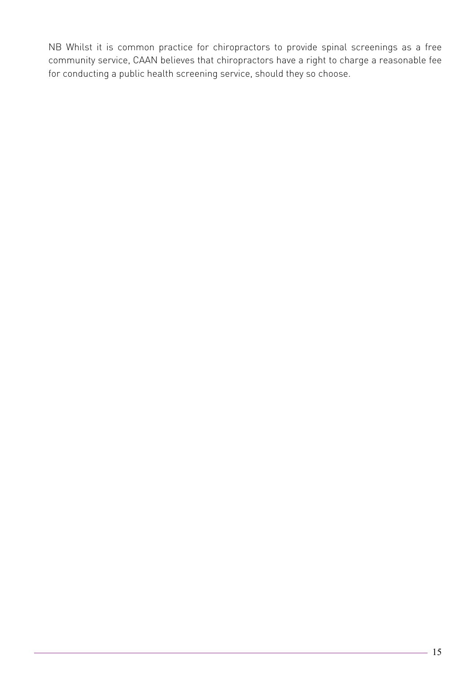NB Whilst it is common practice for chiropractors to provide spinal screenings as a free community service, CAAN believes that chiropractors have a right to charge a reasonable fee for conducting a public health screening service, should they so choose.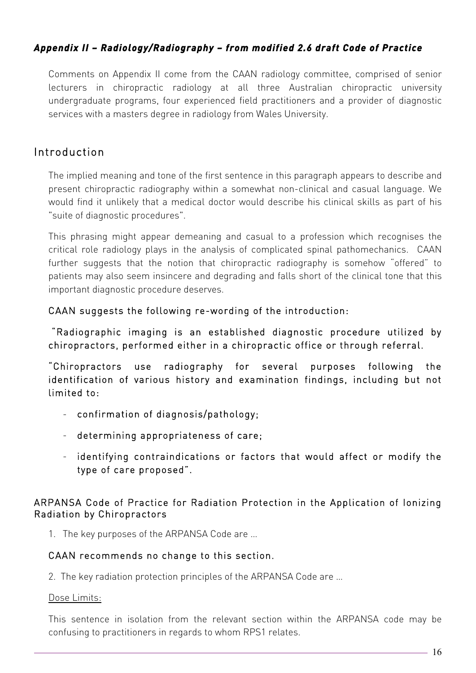## *Appendix II – Radiology/Radiography – from modified 2.6 draft Code of Practice*

 Comments on Appendix II come from the CAAN radiology committee, comprised of senior lecturers in chiropractic radiology at all three Australian chiropractic university undergraduate programs, four experienced field practitioners and a provider of diagnostic services with a masters degree in radiology from Wales University.

## Introduction

The implied meaning and tone of the first sentence in this paragraph appears to describe and present chiropractic radiography within a somewhat non-clinical and casual language. We would find it unlikely that a medical doctor would describe his clinical skills as part of his "suite of diagnostic procedures".

This phrasing might appear demeaning and casual to a profession which recognises the critical role radiology plays in the analysis of complicated spinal pathomechanics. CAAN further suggests that the notion that chiropractic radiography is somehow "offered" to patients may also seem insincere and degrading and falls short of the clinical tone that this important diagnostic procedure deserves.

#### CAAN suggests the following re-wording of the introduction:

 "Radiographic imaging is an established diagnostic procedure utilized by chiropractors, performed either in a chiropractic office or through referral.

"Chiropractors use radiography for several purposes following the identification of various history and examination findings, including but not limited to:

- confirmation of diagnosis/pathology;
- determining appropriateness of care;
- identifying contraindications or factors that would affect or modify the type of care proposed".

#### ARPANSA Code of Practice for Radiation Protection in the Application of Ionizing Radiation by Chiropractors

1. The key purposes of the ARPANSA Code are …

#### CAAN recommends no change to this section.

2. The key radiation protection principles of the ARPANSA Code are …

#### Dose Limits:

This sentence in isolation from the relevant section within the ARPANSA code may be confusing to practitioners in regards to whom RPS1 relates.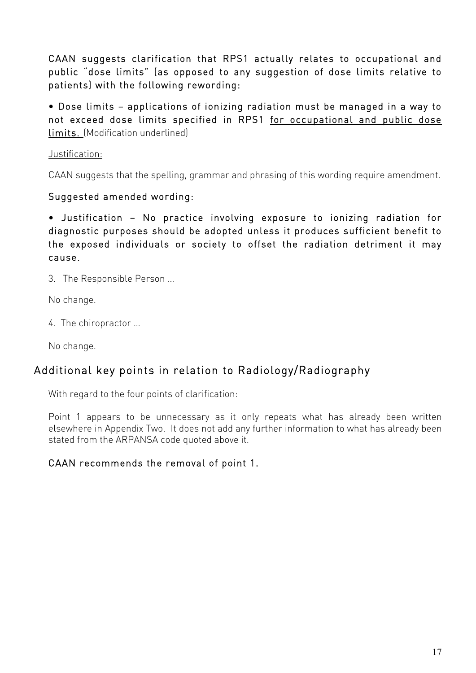CAAN suggests clarification that RPS1 actually relates to occupational and public "dose limits" (as opposed to any suggestion of dose limits relative to patients) with the following rewording:

• Dose limits – applications of ionizing radiation must be managed in a way to not exceed dose limits specified in RPS1 for occupational and public dose limits. (Modification underlined)

### Justification:

CAAN suggests that the spelling, grammar and phrasing of this wording require amendment.

### Suggested amended wording:

• Justification – No practice involving exposure to ionizing radiation for diagnostic purposes should be adopted unless it produces sufficient benefit to the exposed individuals or society to offset the radiation detriment it may cause.

3. The Responsible Person …

No change.

4. The chiropractor …

No change.

## Additional key points in relation to Radiology/Radiography

With regard to the four points of clarification:

Point 1 appears to be unnecessary as it only repeats what has already been written elsewhere in Appendix Two. It does not add any further information to what has already been stated from the ARPANSA code quoted above it.

### CAAN recommends the removal of point 1.